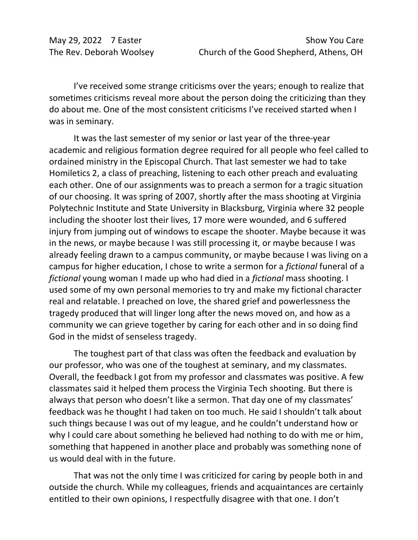I've received some strange criticisms over the years; enough to realize that sometimes criticisms reveal more about the person doing the criticizing than they do about me. One of the most consistent criticisms I've received started when I was in seminary.

It was the last semester of my senior or last year of the three-year academic and religious formation degree required for all people who feel called to ordained ministry in the Episcopal Church. That last semester we had to take Homiletics 2, a class of preaching, listening to each other preach and evaluating each other. One of our assignments was to preach a sermon for a tragic situation of our choosing. It was spring of 2007, shortly after the mass shooting at Virginia Polytechnic Institute and State University in Blacksburg, Virginia where 32 people including the shooter lost their lives, 17 more were wounded, and 6 suffered injury from jumping out of windows to escape the shooter. Maybe because it was in the news, or maybe because I was still processing it, or maybe because I was already feeling drawn to a campus community, or maybe because I was living on a campus for higher education, I chose to write a sermon for a *fictional* funeral of a *fictional* young woman I made up who had died in a *fictional* mass shooting. I used some of my own personal memories to try and make my fictional character real and relatable. I preached on love, the shared grief and powerlessness the tragedy produced that will linger long after the news moved on, and how as a community we can grieve together by caring for each other and in so doing find God in the midst of senseless tragedy.

The toughest part of that class was often the feedback and evaluation by our professor, who was one of the toughest at seminary, and my classmates. Overall, the feedback I got from my professor and classmates was positive. A few classmates said it helped them process the Virginia Tech shooting. But there is always that person who doesn't like a sermon. That day one of my classmates' feedback was he thought I had taken on too much. He said I shouldn't talk about such things because I was out of my league, and he couldn't understand how or why I could care about something he believed had nothing to do with me or him, something that happened in another place and probably was something none of us would deal with in the future.

That was not the only time I was criticized for caring by people both in and outside the church. While my colleagues, friends and acquaintances are certainly entitled to their own opinions, I respectfully disagree with that one. I don't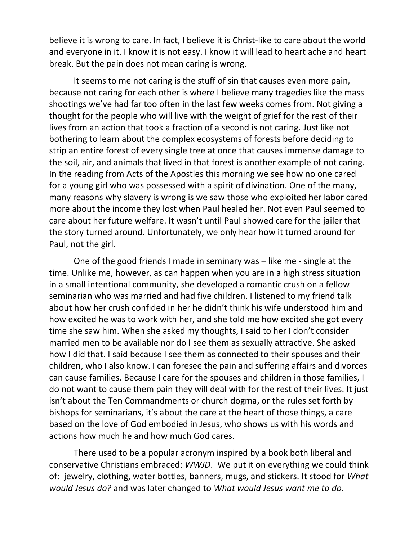believe it is wrong to care. In fact, I believe it is Christ-like to care about the world and everyone in it. I know it is not easy. I know it will lead to heart ache and heart break. But the pain does not mean caring is wrong.

It seems to me not caring is the stuff of sin that causes even more pain, because not caring for each other is where I believe many tragedies like the mass shootings we've had far too often in the last few weeks comes from. Not giving a thought for the people who will live with the weight of grief for the rest of their lives from an action that took a fraction of a second is not caring. Just like not bothering to learn about the complex ecosystems of forests before deciding to strip an entire forest of every single tree at once that causes immense damage to the soil, air, and animals that lived in that forest is another example of not caring. In the reading from Acts of the Apostles this morning we see how no one cared for a young girl who was possessed with a spirit of divination. One of the many, many reasons why slavery is wrong is we saw those who exploited her labor cared more about the income they lost when Paul healed her. Not even Paul seemed to care about her future welfare. It wasn't until Paul showed care for the jailer that the story turned around. Unfortunately, we only hear how it turned around for Paul, not the girl.

One of the good friends I made in seminary was – like me - single at the time. Unlike me, however, as can happen when you are in a high stress situation in a small intentional community, she developed a romantic crush on a fellow seminarian who was married and had five children. I listened to my friend talk about how her crush confided in her he didn't think his wife understood him and how excited he was to work with her, and she told me how excited she got every time she saw him. When she asked my thoughts, I said to her I don't consider married men to be available nor do I see them as sexually attractive. She asked how I did that. I said because I see them as connected to their spouses and their children, who I also know. I can foresee the pain and suffering affairs and divorces can cause families. Because I care for the spouses and children in those families, I do not want to cause them pain they will deal with for the rest of their lives. It just isn't about the Ten Commandments or church dogma, or the rules set forth by bishops for seminarians, it's about the care at the heart of those things, a care based on the love of God embodied in Jesus, who shows us with his words and actions how much he and how much God cares.

There used to be a popular acronym inspired by a book both liberal and conservative Christians embraced: *WWJD*. We put it on everything we could think of: jewelry, clothing, water bottles, banners, mugs, and stickers. It stood for *What would Jesus do?* and was later changed to *What would Jesus want me to do.*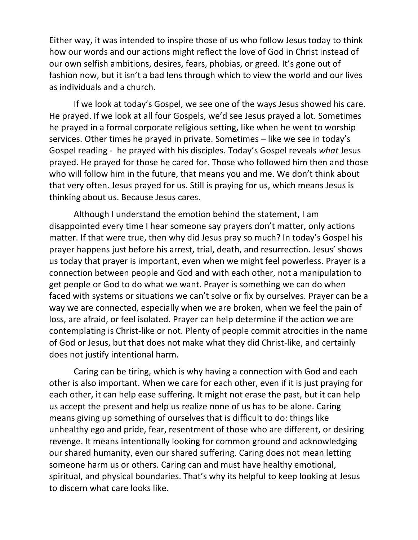Either way, it was intended to inspire those of us who follow Jesus today to think how our words and our actions might reflect the love of God in Christ instead of our own selfish ambitions, desires, fears, phobias, or greed. It's gone out of fashion now, but it isn't a bad lens through which to view the world and our lives as individuals and a church.

If we look at today's Gospel, we see one of the ways Jesus showed his care. He prayed. If we look at all four Gospels, we'd see Jesus prayed a lot. Sometimes he prayed in a formal corporate religious setting, like when he went to worship services. Other times he prayed in private. Sometimes – like we see in today's Gospel reading - he prayed with his disciples. Today's Gospel reveals *what* Jesus prayed. He prayed for those he cared for. Those who followed him then and those who will follow him in the future, that means you and me. We don't think about that very often. Jesus prayed for us. Still is praying for us, which means Jesus is thinking about us. Because Jesus cares.

Although I understand the emotion behind the statement, I am disappointed every time I hear someone say prayers don't matter, only actions matter. If that were true, then why did Jesus pray so much? In today's Gospel his prayer happens just before his arrest, trial, death, and resurrection. Jesus' shows us today that prayer is important, even when we might feel powerless. Prayer is a connection between people and God and with each other, not a manipulation to get people or God to do what we want. Prayer is something we can do when faced with systems or situations we can't solve or fix by ourselves. Prayer can be a way we are connected, especially when we are broken, when we feel the pain of loss, are afraid, or feel isolated. Prayer can help determine if the action we are contemplating is Christ-like or not. Plenty of people commit atrocities in the name of God or Jesus, but that does not make what they did Christ-like, and certainly does not justify intentional harm.

Caring can be tiring, which is why having a connection with God and each other is also important. When we care for each other, even if it is just praying for each other, it can help ease suffering. It might not erase the past, but it can help us accept the present and help us realize none of us has to be alone. Caring means giving up something of ourselves that is difficult to do: things like unhealthy ego and pride, fear, resentment of those who are different, or desiring revenge. It means intentionally looking for common ground and acknowledging our shared humanity, even our shared suffering. Caring does not mean letting someone harm us or others. Caring can and must have healthy emotional, spiritual, and physical boundaries. That's why its helpful to keep looking at Jesus to discern what care looks like.